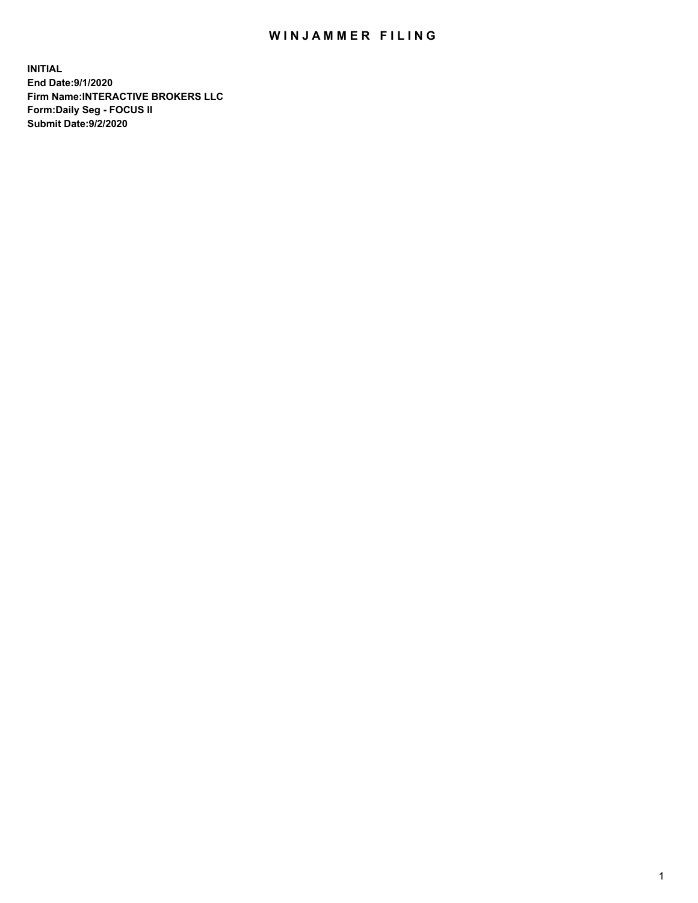## WIN JAMMER FILING

**INITIAL End Date:9/1/2020 Firm Name:INTERACTIVE BROKERS LLC Form:Daily Seg - FOCUS II Submit Date:9/2/2020**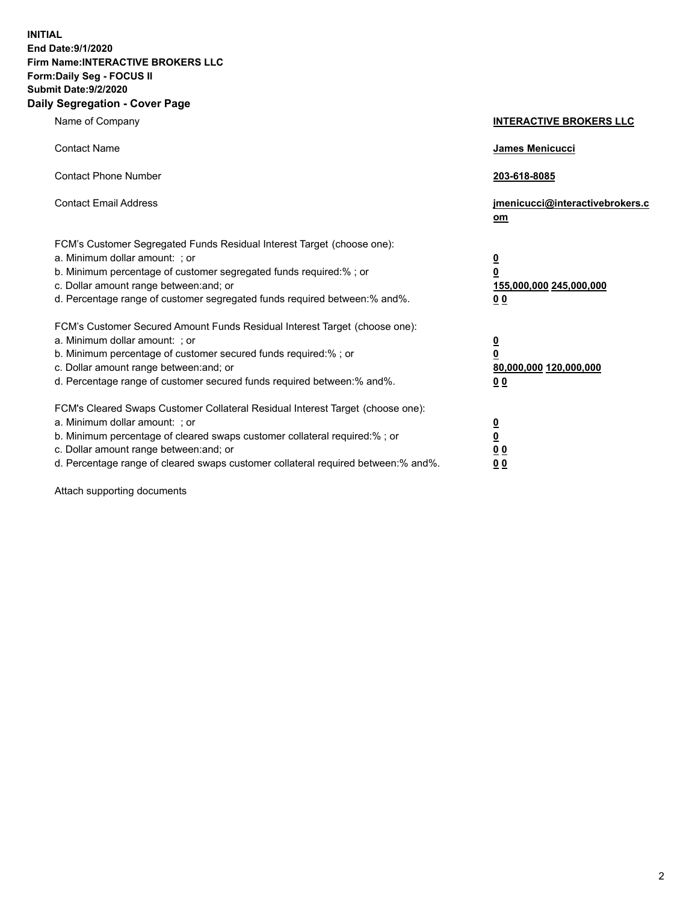**INITIAL End Date:9/1/2020 Firm Name:INTERACTIVE BROKERS LLC Form:Daily Seg - FOCUS II Submit Date:9/2/2020 Daily Segregation - Cover Page**

| Name of Company                                                                                                                                                                                                                                                                                                               | <b>INTERACTIVE BROKERS LLC</b>                                                             |
|-------------------------------------------------------------------------------------------------------------------------------------------------------------------------------------------------------------------------------------------------------------------------------------------------------------------------------|--------------------------------------------------------------------------------------------|
| <b>Contact Name</b>                                                                                                                                                                                                                                                                                                           | <b>James Menicucci</b>                                                                     |
| <b>Contact Phone Number</b>                                                                                                                                                                                                                                                                                                   | 203-618-8085                                                                               |
| <b>Contact Email Address</b>                                                                                                                                                                                                                                                                                                  | jmenicucci@interactivebrokers.c<br>om                                                      |
| FCM's Customer Segregated Funds Residual Interest Target (choose one):<br>a. Minimum dollar amount: : or<br>b. Minimum percentage of customer segregated funds required:% ; or<br>c. Dollar amount range between: and; or<br>d. Percentage range of customer segregated funds required between:% and%.                        | $\overline{\mathbf{0}}$<br>0<br>155,000,000 245,000,000<br><u>00</u>                       |
| FCM's Customer Secured Amount Funds Residual Interest Target (choose one):<br>a. Minimum dollar amount: ; or<br>b. Minimum percentage of customer secured funds required:% ; or<br>c. Dollar amount range between: and; or<br>d. Percentage range of customer secured funds required between:% and%.                          | $\overline{\mathbf{0}}$<br>$\overline{\mathbf{0}}$<br>80,000,000 120,000,000<br><u>0 0</u> |
| FCM's Cleared Swaps Customer Collateral Residual Interest Target (choose one):<br>a. Minimum dollar amount: ; or<br>b. Minimum percentage of cleared swaps customer collateral required:%; or<br>c. Dollar amount range between: and; or<br>d. Percentage range of cleared swaps customer collateral required between:% and%. | $\frac{0}{0}$<br>0 <sub>0</sub><br>0 <sub>0</sub>                                          |

Attach supporting documents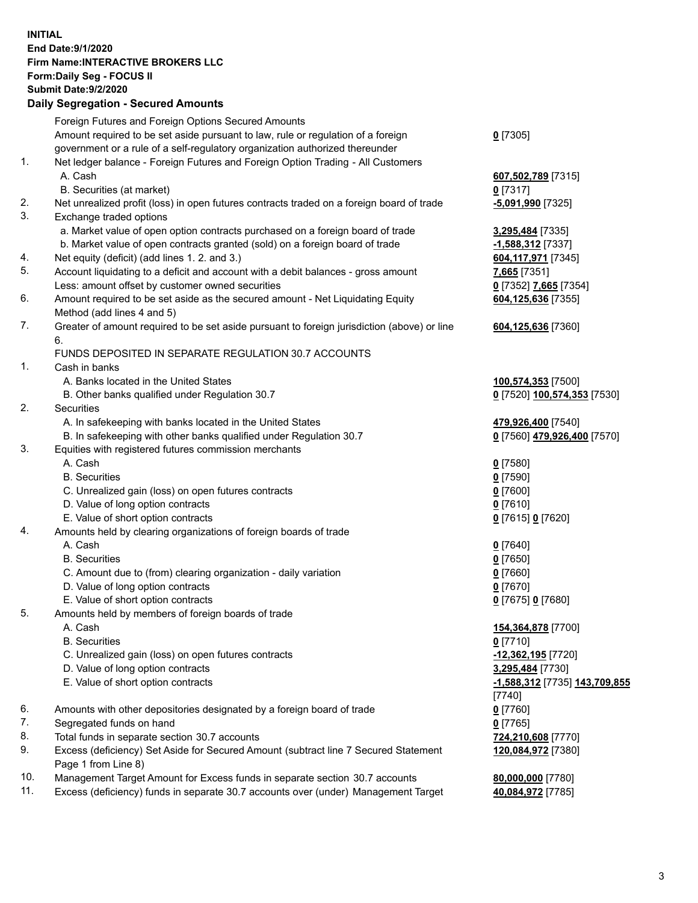**INITIAL End Date:9/1/2020 Firm Name:INTERACTIVE BROKERS LLC Form:Daily Seg - FOCUS II Submit Date:9/2/2020 Daily Segregation - Secured Amounts**

|     | Dany Segregation - Secured Amounts                                                          |                               |
|-----|---------------------------------------------------------------------------------------------|-------------------------------|
|     | Foreign Futures and Foreign Options Secured Amounts                                         |                               |
|     | Amount required to be set aside pursuant to law, rule or regulation of a foreign            | $0$ [7305]                    |
|     | government or a rule of a self-regulatory organization authorized thereunder                |                               |
| 1.  | Net ledger balance - Foreign Futures and Foreign Option Trading - All Customers             |                               |
|     | A. Cash                                                                                     | 607,502,789 [7315]            |
|     | B. Securities (at market)                                                                   | $0$ [7317]                    |
| 2.  | Net unrealized profit (loss) in open futures contracts traded on a foreign board of trade   | -5,091,990 [7325]             |
| 3.  | Exchange traded options                                                                     |                               |
|     | a. Market value of open option contracts purchased on a foreign board of trade              | 3,295,484 [7335]              |
|     | b. Market value of open contracts granted (sold) on a foreign board of trade                | $-1,588,312$ [7337]           |
| 4.  | Net equity (deficit) (add lines 1. 2. and 3.)                                               | 604, 117, 971 [7345]          |
| 5.  | Account liquidating to a deficit and account with a debit balances - gross amount           | 7,665 [7351]                  |
|     | Less: amount offset by customer owned securities                                            | 0 [7352] 7,665 [7354]         |
| 6.  |                                                                                             |                               |
|     | Amount required to be set aside as the secured amount - Net Liquidating Equity              | 604,125,636 [7355]            |
|     | Method (add lines 4 and 5)                                                                  |                               |
| 7.  | Greater of amount required to be set aside pursuant to foreign jurisdiction (above) or line | 604,125,636 [7360]            |
|     | 6.                                                                                          |                               |
|     | FUNDS DEPOSITED IN SEPARATE REGULATION 30.7 ACCOUNTS                                        |                               |
| 1.  | Cash in banks                                                                               |                               |
|     | A. Banks located in the United States                                                       | 100,574,353 [7500]            |
|     | B. Other banks qualified under Regulation 30.7                                              | 0 [7520] 100,574,353 [7530]   |
| 2.  | Securities                                                                                  |                               |
|     | A. In safekeeping with banks located in the United States                                   | 479,926,400 [7540]            |
|     | B. In safekeeping with other banks qualified under Regulation 30.7                          | 0 [7560] 479,926,400 [7570]   |
| 3.  | Equities with registered futures commission merchants                                       |                               |
|     | A. Cash                                                                                     | $0$ [7580]                    |
|     | <b>B.</b> Securities                                                                        | $0$ [7590]                    |
|     | C. Unrealized gain (loss) on open futures contracts                                         | $0$ [7600]                    |
|     | D. Value of long option contracts                                                           | $0$ [7610]                    |
|     | E. Value of short option contracts                                                          | 0 [7615] 0 [7620]             |
| 4.  | Amounts held by clearing organizations of foreign boards of trade                           |                               |
|     | A. Cash                                                                                     | $0$ [7640]                    |
|     | <b>B.</b> Securities                                                                        | $0$ [7650]                    |
|     | C. Amount due to (from) clearing organization - daily variation                             | $0$ [7660]                    |
|     | D. Value of long option contracts                                                           | $0$ [7670]                    |
|     | E. Value of short option contracts                                                          | 0 [7675] 0 [7680]             |
| 5.  | Amounts held by members of foreign boards of trade                                          |                               |
|     | A. Cash                                                                                     | 154,364,878 [7700]            |
|     | <b>B.</b> Securities                                                                        | $0$ [7710]                    |
|     | C. Unrealized gain (loss) on open futures contracts                                         | -12,362,195 [7720]            |
|     | D. Value of long option contracts                                                           | 3,295,484 [7730]              |
|     | E. Value of short option contracts                                                          | -1,588,312 [7735] 143,709,855 |
|     |                                                                                             | $[7740]$                      |
| 6.  | Amounts with other depositories designated by a foreign board of trade                      | $0$ [7760]                    |
| 7.  | Segregated funds on hand                                                                    | $0$ [7765]                    |
| 8.  | Total funds in separate section 30.7 accounts                                               | 724,210,608 [7770]            |
| 9.  | Excess (deficiency) Set Aside for Secured Amount (subtract line 7 Secured Statement         | 120,084,972 [7380]            |
|     | Page 1 from Line 8)                                                                         |                               |
| 10. | Management Target Amount for Excess funds in separate section 30.7 accounts                 | 80,000,000 [7780]             |
| 11. | Excess (deficiency) funds in separate 30.7 accounts over (under) Management Target          |                               |
|     |                                                                                             | 40,084,972 [7785]             |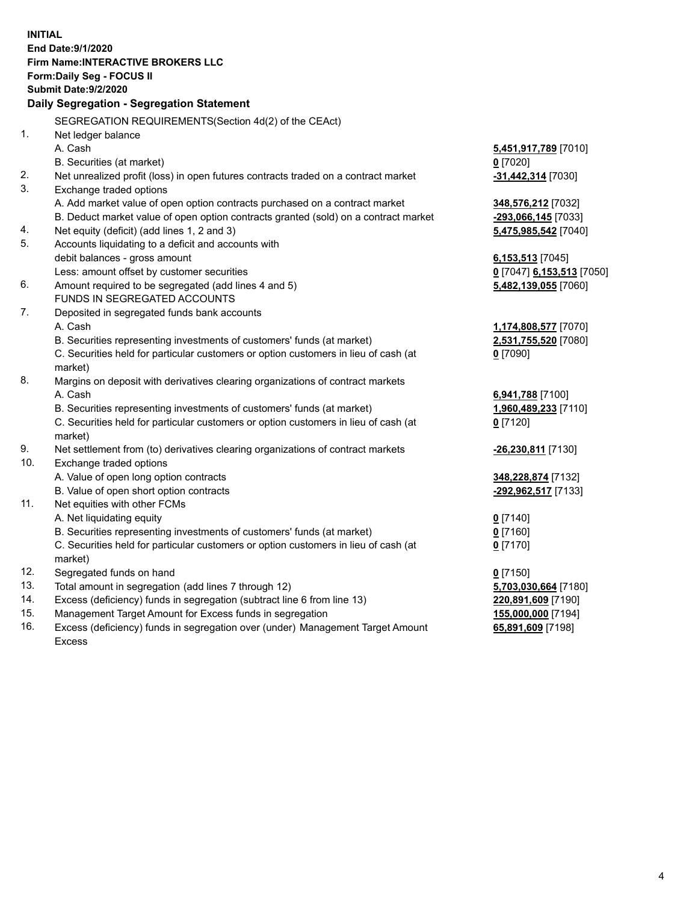**INITIAL End Date:9/1/2020 Firm Name:INTERACTIVE BROKERS LLC Form:Daily Seg - FOCUS II Submit Date:9/2/2020 Daily Segregation - Segregation Statement** SEGREGATION REQUIREMENTS(Section 4d(2) of the CEAct) 1. Net ledger balance A. Cash **5,451,917,789** [7010] B. Securities (at market) **0** [7020] 2. Net unrealized profit (loss) in open futures contracts traded on a contract market **-31,442,314** [7030] 3. Exchange traded options A. Add market value of open option contracts purchased on a contract market **348,576,212** [7032] B. Deduct market value of open option contracts granted (sold) on a contract market **-293,066,145** [7033] 4. Net equity (deficit) (add lines 1, 2 and 3) **5,475,985,542** [7040] 5. Accounts liquidating to a deficit and accounts with debit balances - gross amount **6,153,513** [7045] Less: amount offset by customer securities **0** [7047] **6,153,513** [7050] 6. Amount required to be segregated (add lines 4 and 5) **5,482,139,055** [7060] FUNDS IN SEGREGATED ACCOUNTS 7. Deposited in segregated funds bank accounts A. Cash **1,174,808,577** [7070] B. Securities representing investments of customers' funds (at market) **2,531,755,520** [7080] C. Securities held for particular customers or option customers in lieu of cash (at market) **0** [7090] 8. Margins on deposit with derivatives clearing organizations of contract markets A. Cash **6,941,788** [7100] B. Securities representing investments of customers' funds (at market) **1,960,489,233** [7110] C. Securities held for particular customers or option customers in lieu of cash (at market) **0** [7120] 9. Net settlement from (to) derivatives clearing organizations of contract markets **-26,230,811** [7130] 10. Exchange traded options A. Value of open long option contracts **348,228,874** [7132] B. Value of open short option contracts **-292,962,517** [7133] 11. Net equities with other FCMs A. Net liquidating equity **0** [7140] B. Securities representing investments of customers' funds (at market) **0** [7160] C. Securities held for particular customers or option customers in lieu of cash (at market) **0** [7170] 12. Segregated funds on hand **0** [7150] 13. Total amount in segregation (add lines 7 through 12) **5,703,030,664** [7180] 14. Excess (deficiency) funds in segregation (subtract line 6 from line 13) **220,891,609** [7190] 15. Management Target Amount for Excess funds in segregation **155,000,000** [7194] 16. Excess (deficiency) funds in segregation over (under) Management Target Amount **65,891,609** [7198]

Excess